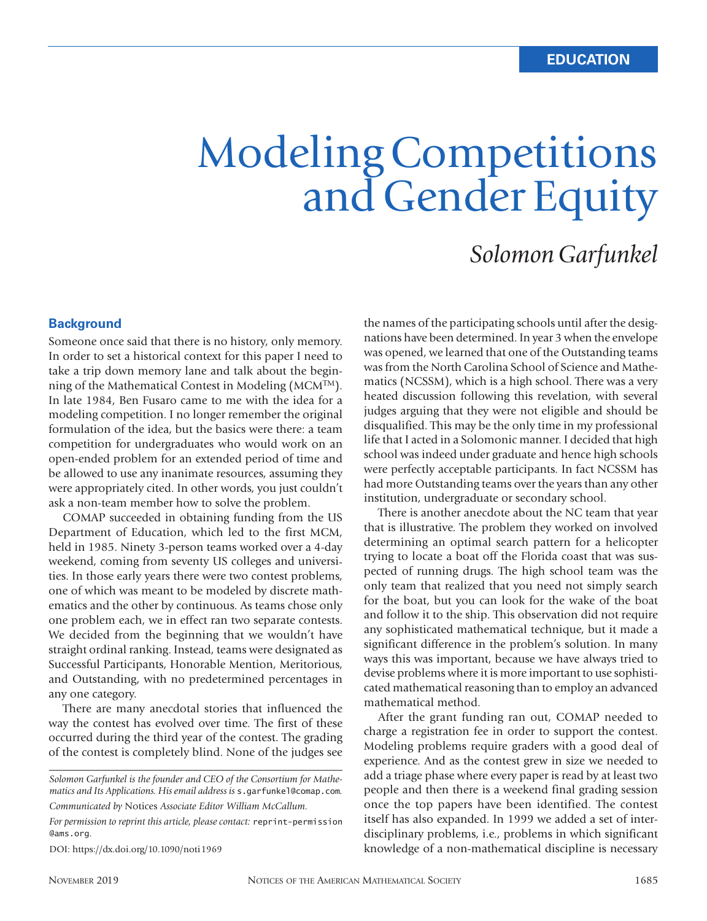# Modeling Competitions and Gender Equity

### *Solomon Garfunkel*

#### **Background**

Someone once said that there is no history, only memory. In order to set a historical context for this paper I need to take a trip down memory lane and talk about the beginning of the Mathematical Contest in Modeling (MCMTM). In late 1984, Ben Fusaro came to me with the idea for a modeling competition. I no longer remember the original formulation of the idea, but the basics were there: a team competition for undergraduates who would work on an open-ended problem for an extended period of time and be allowed to use any inanimate resources, assuming they were appropriately cited. In other words, you just couldn't ask a non-team member how to solve the problem.

COMAP succeeded in obtaining funding from the US Department of Education, which led to the first MCM, held in 1985. Ninety 3-person teams worked over a 4-day weekend, coming from seventy US colleges and universities. In those early years there were two contest problems, one of which was meant to be modeled by discrete mathematics and the other by continuous. As teams chose only one problem each, we in effect ran two separate contests. We decided from the beginning that we wouldn't have straight ordinal ranking. Instead, teams were designated as Successful Participants, Honorable Mention, Meritorious, and Outstanding, with no predetermined percentages in any one category.

There are many anecdotal stories that influenced the way the contest has evolved over time. The first of these occurred during the third year of the contest. The grading of the contest is completely blind. None of the judges see

*Communicated by* Notices *Associate Editor William McCallum.*

DOI: https://dx.doi.org/10.1090/noti1969

the names of the participating schools until after the designations have been determined. In year 3 when the envelope was opened, we learned that one of the Outstanding teams was from the North Carolina School of Science and Mathematics (NCSSM), which is a high school. There was a very heated discussion following this revelation, with several judges arguing that they were not eligible and should be disqualified. This may be the only time in my professional life that I acted in a Solomonic manner. I decided that high school was indeed under graduate and hence high schools were perfectly acceptable participants. In fact NCSSM has had more Outstanding teams over the years than any other institution, undergraduate or secondary school.

There is another anecdote about the NC team that year that is illustrative. The problem they worked on involved determining an optimal search pattern for a helicopter trying to locate a boat off the Florida coast that was suspected of running drugs. The high school team was the only team that realized that you need not simply search for the boat, but you can look for the wake of the boat and follow it to the ship. This observation did not require any sophisticated mathematical technique, but it made a significant difference in the problem's solution. In many ways this was important, because we have always tried to devise problems where it is more important to use sophisticated mathematical reasoning than to employ an advanced mathematical method.

After the grant funding ran out, COMAP needed to charge a registration fee in order to support the contest. Modeling problems require graders with a good deal of experience. And as the contest grew in size we needed to add a triage phase where every paper is read by at least two people and then there is a weekend final grading session once the top papers have been identified. The contest itself has also expanded. In 1999 we added a set of interdisciplinary problems, i.e., problems in which significant knowledge of a non-mathematical discipline is necessary

*Solomon Garfunkel is the founder and CEO of the Consortium for Mathematics and Its Applications. His email address is* s.garfunkel@comap.com*.* 

*For permission to reprint this article, please contact:* reprint-permission @ams.org.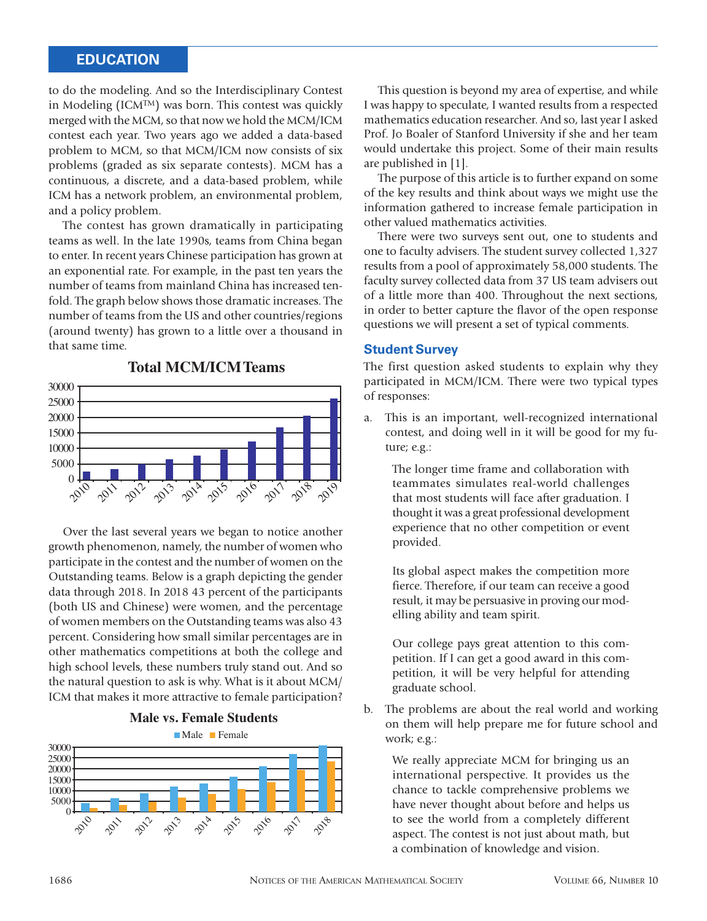#### **EDUCATION**

to do the modeling. And so the Interdisciplinary Contest in Modeling (ICMTM) was born. This contest was quickly merged with the MCM, so that now we hold the MCM/ICM contest each year. Two years ago we added a data-based problem to MCM, so that MCM/ICM now consists of six problems (graded as six separate contests). MCM has a continuous, a discrete, and a data-based problem, while ICM has a network problem, an environmental problem, and a policy problem.

The contest has grown dramatically in participating teams as well. In the late 1990s, teams from China began to enter. In recent years Chinese participation has grown at an exponential rate. For example, in the past ten years the number of teams from mainland China has increased tenfold. The graph below shows those dramatic increases. The number of teams from the US and other countries/regions (around twenty) has grown to a little over a thousand in that same time.



Over the last several years we began to notice another growth phenomenon, namely, the number of women who participate in the contest and the number of women on the Outstanding teams. Below is a graph depicting the gender data through 2018. In 2018 43 percent of the participants (both US and Chinese) were women, and the percentage of women members on the Outstanding teams was also 43 percent. Considering how small similar percentages are in other mathematics competitions at both the college and high school levels, these numbers truly stand out. And so the natural question to ask is why. What is it about MCM/ ICM that makes it more attractive to female participation?





This question is beyond my area of expertise, and while I was happy to speculate, I wanted results from a respected mathematics education researcher. And so, last year I asked Prof. Jo Boaler of Stanford University if she and her team would undertake this project. Some of their main results are published in [1].

The purpose of this article is to further expand on some of the key results and think about ways we might use the information gathered to increase female participation in other valued mathematics activities.

There were two surveys sent out, one to students and one to faculty advisers. The student survey collected 1,327 results from a pool of approximately 58,000 students. The faculty survey collected data from 37 US team advisers out of a little more than 400. Throughout the next sections, in order to better capture the flavor of the open response questions we will present a set of typical comments.

#### **Student Survey**

The first question asked students to explain why they participated in MCM/ICM. There were two typical types of responses:

a. This is an important, well-recognized international contest, and doing well in it will be good for my future; e.g.:

The longer time frame and collaboration with teammates simulates real-world challenges that most students will face after graduation. I thought it was a great professional development experience that no other competition or event provided.

Its global aspect makes the competition more fierce. Therefore, if our team can receive a good result, it may be persuasive in proving our modelling ability and team spirit.

Our college pays great attention to this competition. If I can get a good award in this competition, it will be very helpful for attending graduate school.

b. The problems are about the real world and working on them will help prepare me for future school and work; e.g.:

We really appreciate MCM for bringing us an international perspective. It provides us the chance to tackle comprehensive problems we have never thought about before and helps us to see the world from a completely different aspect. The contest is not just about math, but a combination of knowledge and vision.

## **Total MCM/ICMTeams**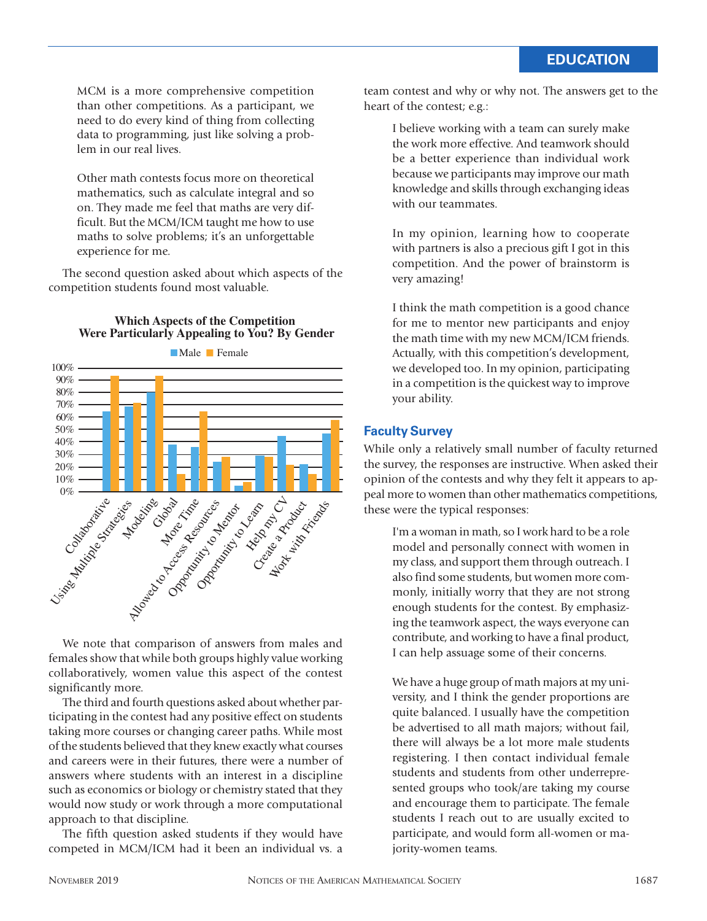MCM is a more comprehensive competition than other competitions. As a participant, we need to do every kind of thing from collecting data to programming, just like solving a problem in our real lives.

Other math contests focus more on theoretical mathematics, such as calculate integral and so on. They made me feel that maths are very difficult. But the MCM/ICM taught me how to use maths to solve problems; it's an unforgettable experience for me.

The second question asked about which aspects of the competition students found most valuable.



**Which Aspects of the Competition Were Particularly Appealing to You? By Gender**

We note that comparison of answers from males and females show that while both groups highly value working collaboratively, women value this aspect of the contest significantly more.

The third and fourth questions asked about whether participating in the contest had any positive effect on students taking more courses or changing career paths. While most of the students believed that they knew exactly what courses and careers were in their futures, there were a number of answers where students with an interest in a discipline such as economics or biology or chemistry stated that they would now study or work through a more computational approach to that discipline.

The fifth question asked students if they would have competed in MCM/ICM had it been an individual vs. a team contest and why or why not. The answers get to the heart of the contest; e.g.:

I believe working with a team can surely make the work more effective. And teamwork should be a better experience than individual work because we participants may improve our math knowledge and skills through exchanging ideas with our teammates.

In my opinion, learning how to cooperate with partners is also a precious gift I got in this competition. And the power of brainstorm is very amazing!

I think the math competition is a good chance for me to mentor new participants and enjoy the math time with my new MCM/ICM friends. Actually, with this competition's development, we developed too. In my opinion, participating in a competition is the quickest way to improve your ability.

#### **Faculty Survey**

While only a relatively small number of faculty returned the survey, the responses are instructive. When asked their opinion of the contests and why they felt it appears to appeal more to women than other mathematics competitions, these were the typical responses:

I'm a woman in math, so I work hard to be a role model and personally connect with women in my class, and support them through outreach. I also find some students, but women more commonly, initially worry that they are not strong enough students for the contest. By emphasizing the teamwork aspect, the ways everyone can contribute, and working to have a final product, I can help assuage some of their concerns.

We have a huge group of math majors at my university, and I think the gender proportions are quite balanced. I usually have the competition be advertised to all math majors; without fail, there will always be a lot more male students registering. I then contact individual female students and students from other underrepresented groups who took/are taking my course and encourage them to participate. The female students I reach out to are usually excited to participate, and would form all-women or majority-women teams.